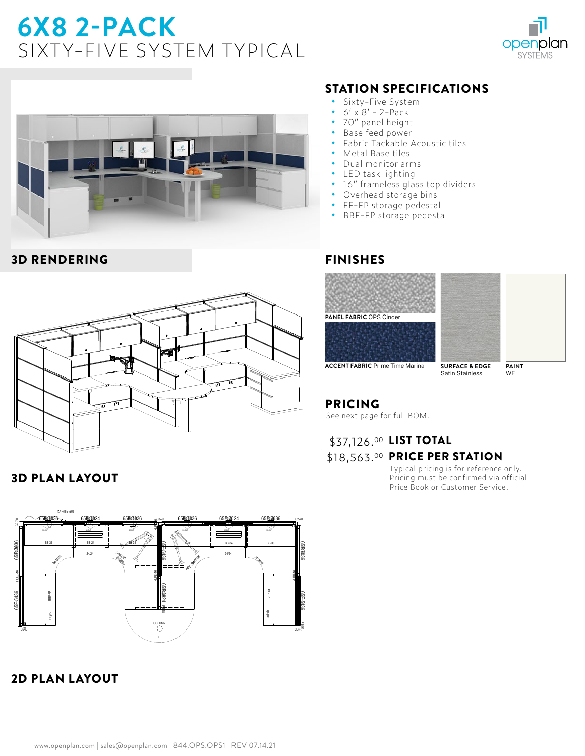# **6X8 2-PACK**  SIXTY-FIVE SYSTEM TYPICAL





#### 3D RENDERING



#### 3D PLAN LAYOUT



## 2D PLAN LAYOUT

### STATION SPECIFICATIONS

- **•** Sixty-Five System
- **•** 6' x 8' 2-Pack
- **•** 70" panel height
- **•** Base feed power
- **•** Fabric Tackable Acoustic tiles
- **•** Metal Base tiles
- **•** Dual monitor arms
- **•** LED task lighting
- **•** 16" frameless glass top dividers
- **•** Overhead storage bins
- **•** FF-FP storage pedestal
- **•** BBF-FP storage pedestal

#### FINISHES





**ACCENT FABRIC** Prime Time Marina **SURFACE & EDGE**

Satin Stainless

**PAINT** WF

## PRICING

See next page for full BOM.

## \$37,126.00 LIST TOTAL \$18,563.00 PRICE PER STATION

Typical pricing is for reference only. Pricing must be confirmed via official Price Book or Customer Service.